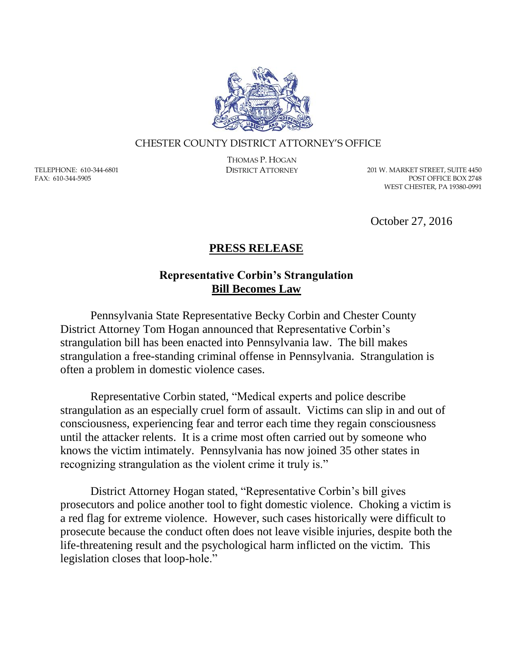

## CHESTER COUNTY DISTRICT ATTORNEY'S OFFICE

TELEPHONE: 610-344-6801 FAX: 610-344-5905

THOMAS P. HOGAN

DISTRICT ATTORNEY 201 W. MARKET STREET, SUITE 4450 POST OFFICE BOX 2748 WEST CHESTER, PA 19380-0991

October 27, 2016

## **PRESS RELEASE**

## **Representative Corbin's Strangulation Bill Becomes Law**

Pennsylvania State Representative Becky Corbin and Chester County District Attorney Tom Hogan announced that Representative Corbin's strangulation bill has been enacted into Pennsylvania law. The bill makes strangulation a free-standing criminal offense in Pennsylvania. Strangulation is often a problem in domestic violence cases.

Representative Corbin stated, "Medical experts and police describe strangulation as an especially cruel form of assault. Victims can slip in and out of consciousness, experiencing fear and terror each time they regain consciousness until the attacker relents. It is a crime most often carried out by someone who knows the victim intimately. Pennsylvania has now joined 35 other states in recognizing strangulation as the violent crime it truly is."

District Attorney Hogan stated, "Representative Corbin's bill gives prosecutors and police another tool to fight domestic violence. Choking a victim is a red flag for extreme violence. However, such cases historically were difficult to prosecute because the conduct often does not leave visible injuries, despite both the life-threatening result and the psychological harm inflicted on the victim. This legislation closes that loop-hole."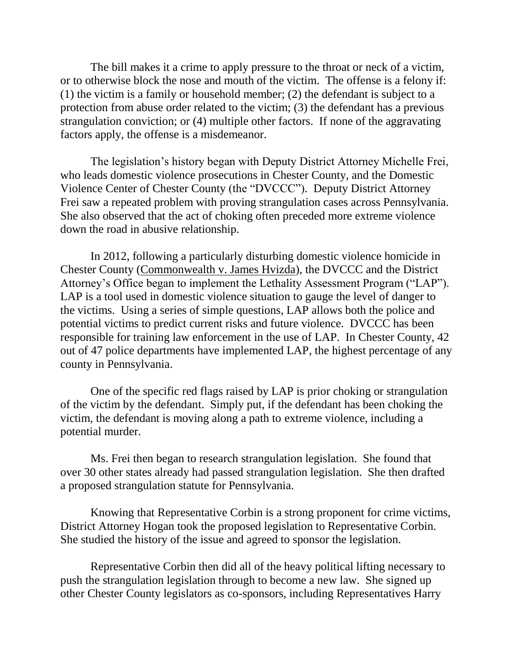The bill makes it a crime to apply pressure to the throat or neck of a victim, or to otherwise block the nose and mouth of the victim. The offense is a felony if: (1) the victim is a family or household member; (2) the defendant is subject to a protection from abuse order related to the victim; (3) the defendant has a previous strangulation conviction; or (4) multiple other factors. If none of the aggravating factors apply, the offense is a misdemeanor.

The legislation's history began with Deputy District Attorney Michelle Frei, who leads domestic violence prosecutions in Chester County, and the Domestic Violence Center of Chester County (the "DVCCC"). Deputy District Attorney Frei saw a repeated problem with proving strangulation cases across Pennsylvania. She also observed that the act of choking often preceded more extreme violence down the road in abusive relationship.

In 2012, following a particularly disturbing domestic violence homicide in Chester County (Commonwealth v. James Hvizda), the DVCCC and the District Attorney's Office began to implement the Lethality Assessment Program ("LAP"). LAP is a tool used in domestic violence situation to gauge the level of danger to the victims. Using a series of simple questions, LAP allows both the police and potential victims to predict current risks and future violence. DVCCC has been responsible for training law enforcement in the use of LAP. In Chester County, 42 out of 47 police departments have implemented LAP, the highest percentage of any county in Pennsylvania.

One of the specific red flags raised by LAP is prior choking or strangulation of the victim by the defendant. Simply put, if the defendant has been choking the victim, the defendant is moving along a path to extreme violence, including a potential murder.

Ms. Frei then began to research strangulation legislation. She found that over 30 other states already had passed strangulation legislation. She then drafted a proposed strangulation statute for Pennsylvania.

Knowing that Representative Corbin is a strong proponent for crime victims, District Attorney Hogan took the proposed legislation to Representative Corbin. She studied the history of the issue and agreed to sponsor the legislation.

Representative Corbin then did all of the heavy political lifting necessary to push the strangulation legislation through to become a new law. She signed up other Chester County legislators as co-sponsors, including Representatives Harry